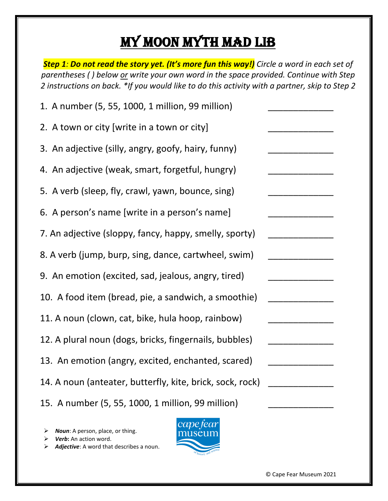## My Moon Myth Mad Lib

*Step 1: Do not read the story yet. (It's more fun this way!) Circle a word in each set of parentheses ( ) below or write your own word in the space provided. Continue with Step 2 instructions on back. \*If you would like to do this activity with a partner, skip to Step 2*

| 1. A number (5, 55, 1000, 1 million, 99 million)          |  |
|-----------------------------------------------------------|--|
| 2. A town or city [write in a town or city]               |  |
| 3. An adjective (silly, angry, goofy, hairy, funny)       |  |
| 4. An adjective (weak, smart, forgetful, hungry)          |  |
| 5. A verb (sleep, fly, crawl, yawn, bounce, sing)         |  |
| 6. A person's name [write in a person's name]             |  |
| 7. An adjective (sloppy, fancy, happy, smelly, sporty)    |  |
| 8. A verb (jump, burp, sing, dance, cartwheel, swim)      |  |
| 9. An emotion (excited, sad, jealous, angry, tired)       |  |
| 10. A food item (bread, pie, a sandwich, a smoothie)      |  |
| 11. A noun (clown, cat, bike, hula hoop, rainbow)         |  |
| 12. A plural noun (dogs, bricks, fingernails, bubbles)    |  |
| 13. An emotion (angry, excited, enchanted, scared)        |  |
| 14. A noun (anteater, butterfly, kite, brick, sock, rock) |  |
| 15. A number (5, 55, 1000, 1 million, 99 million)         |  |

- *Noun*: A person, place, or thing.
- *Verb***:** An action word.
- *Adjective*: A word that describes a noun.